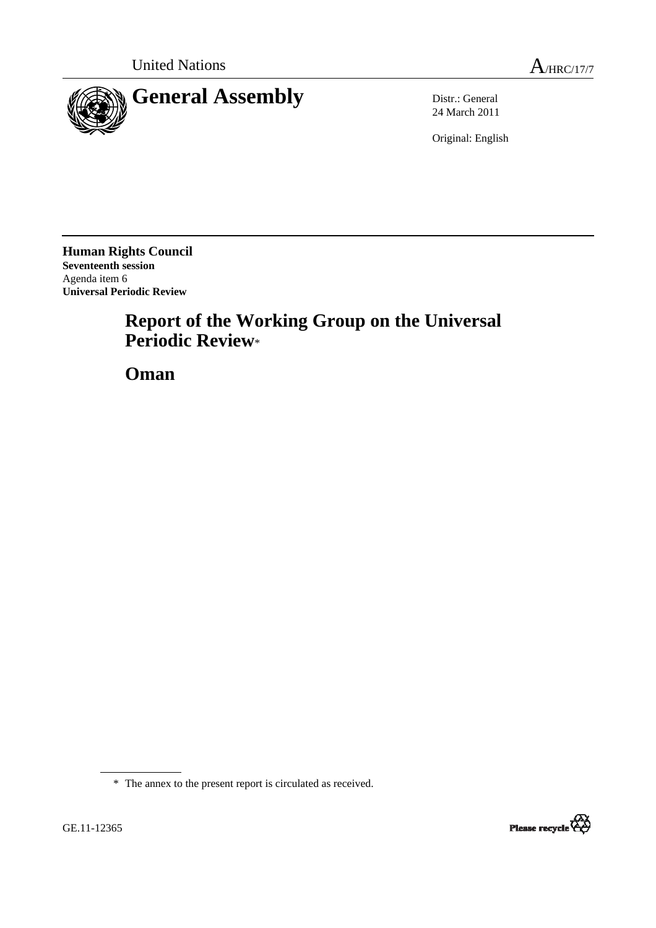



24 March 2011

Original: English

**Human Rights Council Seventeenth session**  Agenda item 6 **Universal Periodic Review** 

# **Report of the Working Group on the Universal Periodic Review**\*

 **Oman** 

\* The annex to the present report is circulated as received.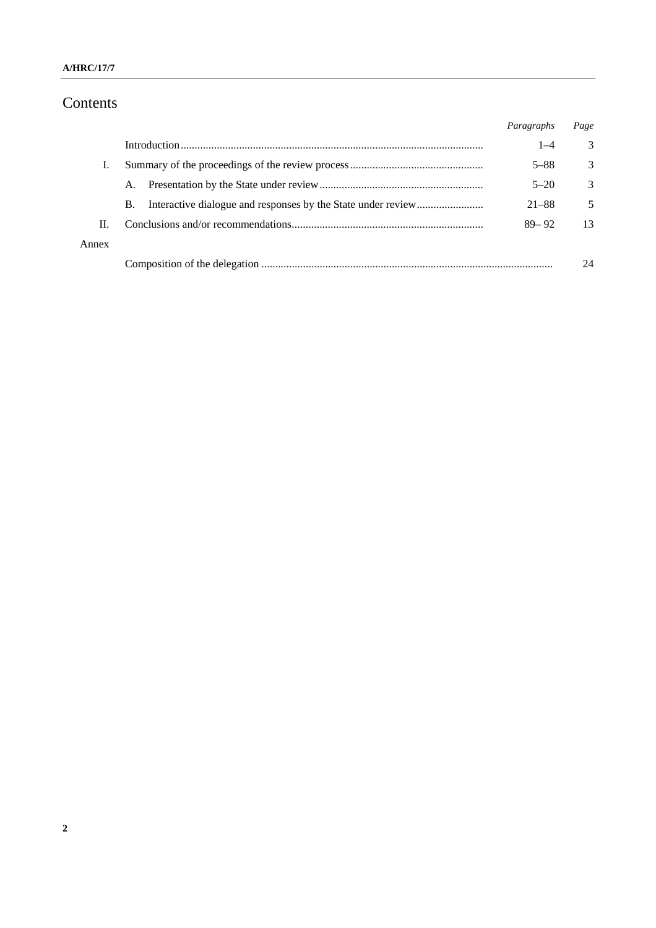# Contents

|       |    | Paragraphs | Page |
|-------|----|------------|------|
|       |    | $1 - 4$    | 3    |
| T.    |    | $5 - 88$   | 3    |
|       | A. | $5 - 20$   | 3    |
|       | В. | $21 - 88$  | 5    |
| П.    |    | $89 - 92$  | 13   |
| Annex |    |            |      |
|       |    |            | 24   |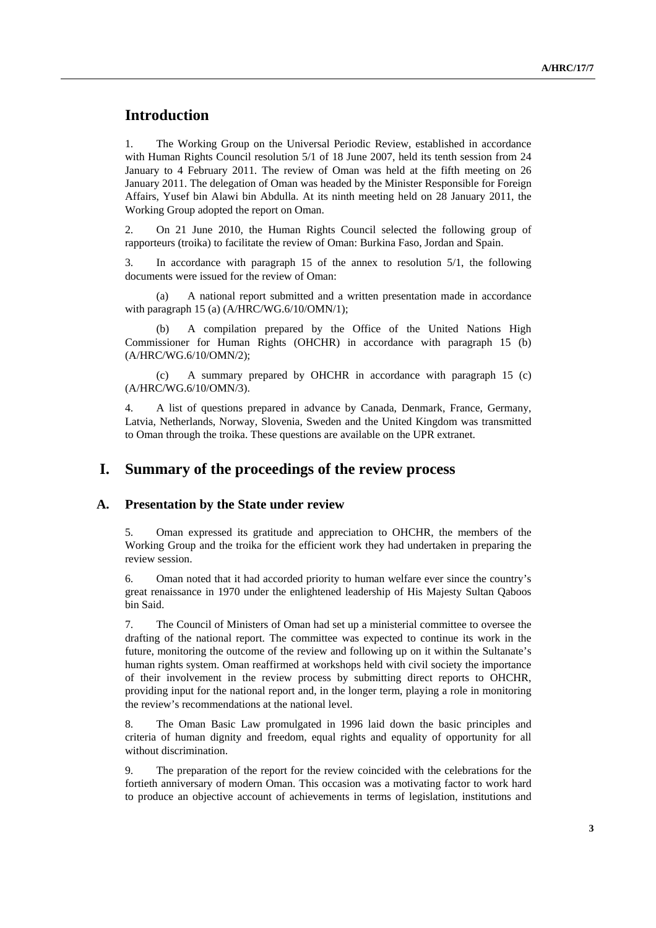# **Introduction**

1. The Working Group on the Universal Periodic Review, established in accordance with Human Rights Council resolution 5/1 of 18 June 2007, held its tenth session from 24 January to 4 February 2011. The review of Oman was held at the fifth meeting on 26 January 2011. The delegation of Oman was headed by the Minister Responsible for Foreign Affairs, Yusef bin Alawi bin Abdulla. At its ninth meeting held on 28 January 2011, the Working Group adopted the report on Oman.

2. On 21 June 2010, the Human Rights Council selected the following group of rapporteurs (troika) to facilitate the review of Oman: Burkina Faso, Jordan and Spain.

3. In accordance with paragraph 15 of the annex to resolution 5/1, the following documents were issued for the review of Oman:

 (a) A national report submitted and a written presentation made in accordance with paragraph 15 (a) (A/HRC/WG.6/10/OMN/1);

 (b) A compilation prepared by the Office of the United Nations High Commissioner for Human Rights (OHCHR) in accordance with paragraph 15 (b) (A/HRC/WG.6/10/OMN/2);

 (c) A summary prepared by OHCHR in accordance with paragraph 15 (c) (A/HRC/WG.6/10/OMN/3).

4. A list of questions prepared in advance by Canada, Denmark, France, Germany, Latvia, Netherlands, Norway, Slovenia, Sweden and the United Kingdom was transmitted to Oman through the troika. These questions are available on the UPR extranet.

# **I. Summary of the proceedings of the review process**

#### **A. Presentation by the State under review**

5. Oman expressed its gratitude and appreciation to OHCHR, the members of the Working Group and the troika for the efficient work they had undertaken in preparing the review session.

6. Oman noted that it had accorded priority to human welfare ever since the country's great renaissance in 1970 under the enlightened leadership of His Majesty Sultan Qaboos bin Said.

7. The Council of Ministers of Oman had set up a ministerial committee to oversee the drafting of the national report. The committee was expected to continue its work in the future, monitoring the outcome of the review and following up on it within the Sultanate's human rights system. Oman reaffirmed at workshops held with civil society the importance of their involvement in the review process by submitting direct reports to OHCHR, providing input for the national report and, in the longer term, playing a role in monitoring the review's recommendations at the national level.

8. The Oman Basic Law promulgated in 1996 laid down the basic principles and criteria of human dignity and freedom, equal rights and equality of opportunity for all without discrimination.

9. The preparation of the report for the review coincided with the celebrations for the fortieth anniversary of modern Oman. This occasion was a motivating factor to work hard to produce an objective account of achievements in terms of legislation, institutions and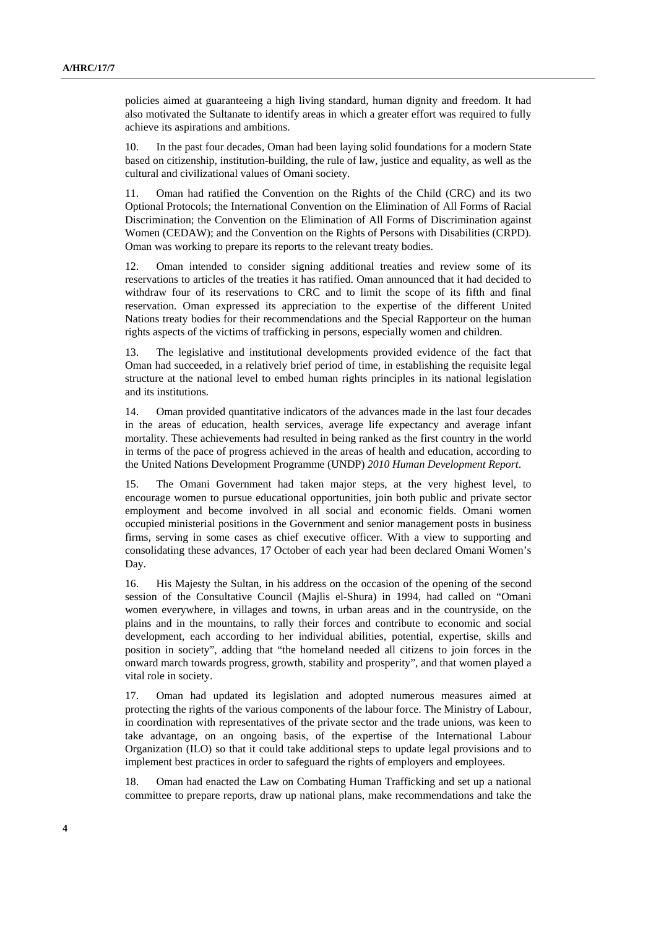policies aimed at guaranteeing a high living standard, human dignity and freedom. It had also motivated the Sultanate to identify areas in which a greater effort was required to fully achieve its aspirations and ambitions.

10. In the past four decades, Oman had been laying solid foundations for a modern State based on citizenship, institution-building, the rule of law, justice and equality, as well as the cultural and civilizational values of Omani society.

11. Oman had ratified the Convention on the Rights of the Child (CRC) and its two Optional Protocols; the International Convention on the Elimination of All Forms of Racial Discrimination; the Convention on the Elimination of All Forms of Discrimination against Women (CEDAW); and the Convention on the Rights of Persons with Disabilities (CRPD). Oman was working to prepare its reports to the relevant treaty bodies.

12. Oman intended to consider signing additional treaties and review some of its reservations to articles of the treaties it has ratified. Oman announced that it had decided to withdraw four of its reservations to CRC and to limit the scope of its fifth and final reservation. Oman expressed its appreciation to the expertise of the different United Nations treaty bodies for their recommendations and the Special Rapporteur on the human rights aspects of the victims of trafficking in persons, especially women and children.

13. The legislative and institutional developments provided evidence of the fact that Oman had succeeded, in a relatively brief period of time, in establishing the requisite legal structure at the national level to embed human rights principles in its national legislation and its institutions.

14. Oman provided quantitative indicators of the advances made in the last four decades in the areas of education, health services, average life expectancy and average infant mortality. These achievements had resulted in being ranked as the first country in the world in terms of the pace of progress achieved in the areas of health and education, according to the United Nations Development Programme (UNDP) *2010 Human Development Report*.

15. The Omani Government had taken major steps, at the very highest level, to encourage women to pursue educational opportunities, join both public and private sector employment and become involved in all social and economic fields. Omani women occupied ministerial positions in the Government and senior management posts in business firms, serving in some cases as chief executive officer. With a view to supporting and consolidating these advances, 17 October of each year had been declared Omani Women's Day.

16. His Majesty the Sultan, in his address on the occasion of the opening of the second session of the Consultative Council (Majlis el-Shura) in 1994, had called on "Omani women everywhere, in villages and towns, in urban areas and in the countryside, on the plains and in the mountains, to rally their forces and contribute to economic and social development, each according to her individual abilities, potential, expertise, skills and position in society", adding that "the homeland needed all citizens to join forces in the onward march towards progress, growth, stability and prosperity", and that women played a vital role in society.

17. Oman had updated its legislation and adopted numerous measures aimed at protecting the rights of the various components of the labour force. The Ministry of Labour, in coordination with representatives of the private sector and the trade unions, was keen to take advantage, on an ongoing basis, of the expertise of the International Labour Organization (ILO) so that it could take additional steps to update legal provisions and to implement best practices in order to safeguard the rights of employers and employees.

18. Oman had enacted the Law on Combating Human Trafficking and set up a national committee to prepare reports, draw up national plans, make recommendations and take the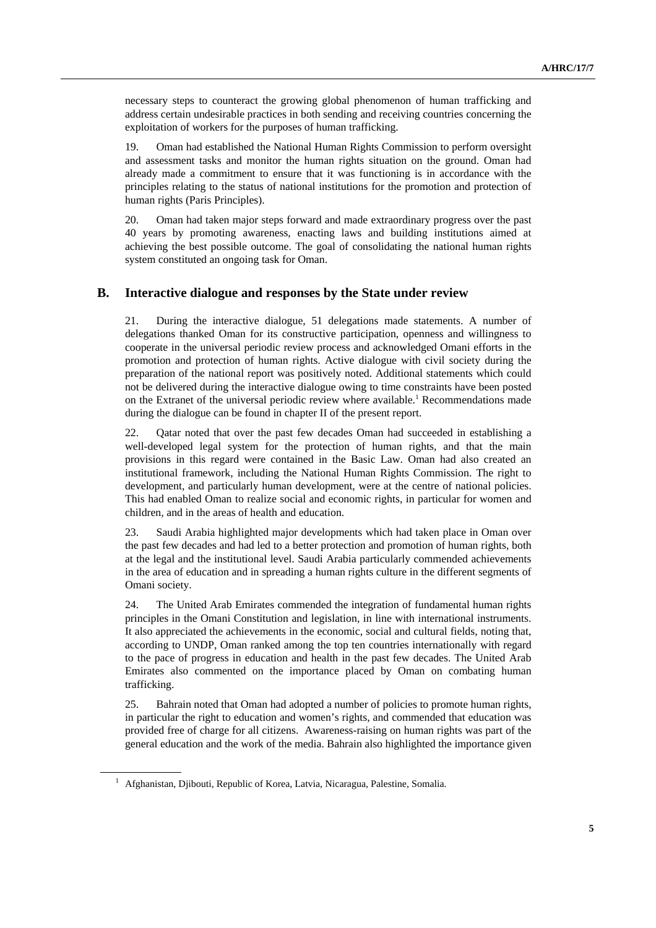necessary steps to counteract the growing global phenomenon of human trafficking and address certain undesirable practices in both sending and receiving countries concerning the exploitation of workers for the purposes of human trafficking.

19. Oman had established the National Human Rights Commission to perform oversight and assessment tasks and monitor the human rights situation on the ground. Oman had already made a commitment to ensure that it was functioning is in accordance with the principles relating to the status of national institutions for the promotion and protection of human rights (Paris Principles).

20. Oman had taken major steps forward and made extraordinary progress over the past 40 years by promoting awareness, enacting laws and building institutions aimed at achieving the best possible outcome. The goal of consolidating the national human rights system constituted an ongoing task for Oman.

#### **B. Interactive dialogue and responses by the State under review**

21. During the interactive dialogue, 51 delegations made statements. A number of delegations thanked Oman for its constructive participation, openness and willingness to cooperate in the universal periodic review process and acknowledged Omani efforts in the promotion and protection of human rights. Active dialogue with civil society during the preparation of the national report was positively noted. Additional statements which could not be delivered during the interactive dialogue owing to time constraints have been posted on the Extranet of the universal periodic review where available.<sup>1</sup> Recommendations made during the dialogue can be found in chapter II of the present report.

22. Qatar noted that over the past few decades Oman had succeeded in establishing a well-developed legal system for the protection of human rights, and that the main provisions in this regard were contained in the Basic Law. Oman had also created an institutional framework, including the National Human Rights Commission. The right to development, and particularly human development, were at the centre of national policies. This had enabled Oman to realize social and economic rights, in particular for women and children, and in the areas of health and education.

23. Saudi Arabia highlighted major developments which had taken place in Oman over the past few decades and had led to a better protection and promotion of human rights, both at the legal and the institutional level. Saudi Arabia particularly commended achievements in the area of education and in spreading a human rights culture in the different segments of Omani society.

24. The United Arab Emirates commended the integration of fundamental human rights principles in the Omani Constitution and legislation, in line with international instruments. It also appreciated the achievements in the economic, social and cultural fields, noting that, according to UNDP, Oman ranked among the top ten countries internationally with regard to the pace of progress in education and health in the past few decades. The United Arab Emirates also commented on the importance placed by Oman on combating human trafficking.

25. Bahrain noted that Oman had adopted a number of policies to promote human rights, in particular the right to education and women's rights, and commended that education was provided free of charge for all citizens. Awareness-raising on human rights was part of the general education and the work of the media. Bahrain also highlighted the importance given

<sup>&</sup>lt;sup>1</sup> Afghanistan, Djibouti, Republic of Korea, Latvia, Nicaragua, Palestine, Somalia.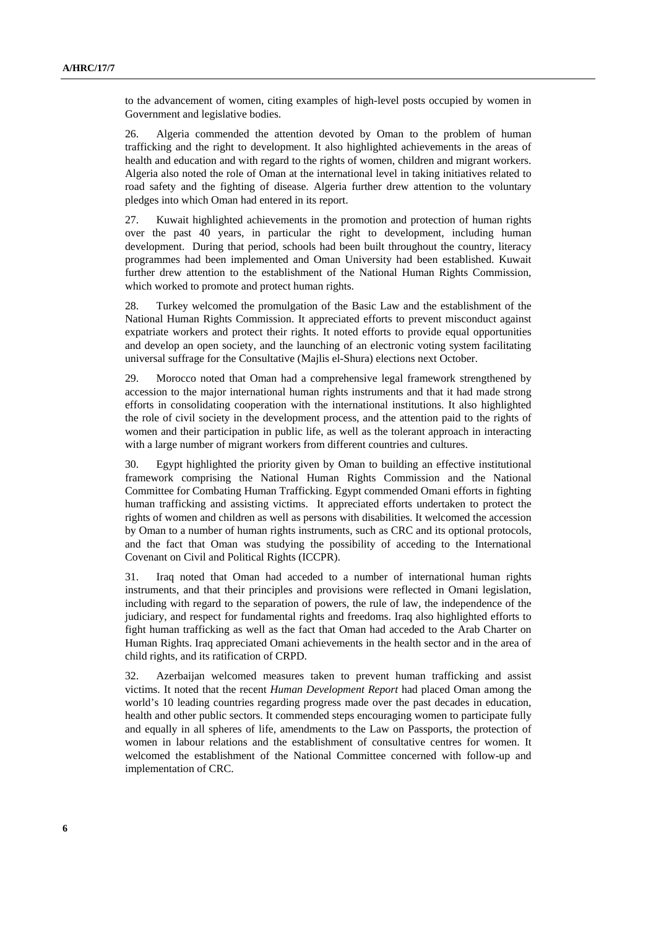to the advancement of women, citing examples of high-level posts occupied by women in Government and legislative bodies.

26. Algeria commended the attention devoted by Oman to the problem of human trafficking and the right to development. It also highlighted achievements in the areas of health and education and with regard to the rights of women, children and migrant workers. Algeria also noted the role of Oman at the international level in taking initiatives related to road safety and the fighting of disease. Algeria further drew attention to the voluntary pledges into which Oman had entered in its report.

27. Kuwait highlighted achievements in the promotion and protection of human rights over the past 40 years, in particular the right to development, including human development. During that period, schools had been built throughout the country, literacy programmes had been implemented and Oman University had been established. Kuwait further drew attention to the establishment of the National Human Rights Commission, which worked to promote and protect human rights.

28. Turkey welcomed the promulgation of the Basic Law and the establishment of the National Human Rights Commission. It appreciated efforts to prevent misconduct against expatriate workers and protect their rights. It noted efforts to provide equal opportunities and develop an open society, and the launching of an electronic voting system facilitating universal suffrage for the Consultative (Majlis el-Shura) elections next October.

29. Morocco noted that Oman had a comprehensive legal framework strengthened by accession to the major international human rights instruments and that it had made strong efforts in consolidating cooperation with the international institutions. It also highlighted the role of civil society in the development process, and the attention paid to the rights of women and their participation in public life, as well as the tolerant approach in interacting with a large number of migrant workers from different countries and cultures.

30. Egypt highlighted the priority given by Oman to building an effective institutional framework comprising the National Human Rights Commission and the National Committee for Combating Human Trafficking. Egypt commended Omani efforts in fighting human trafficking and assisting victims. It appreciated efforts undertaken to protect the rights of women and children as well as persons with disabilities. It welcomed the accession by Oman to a number of human rights instruments, such as CRC and its optional protocols, and the fact that Oman was studying the possibility of acceding to the International Covenant on Civil and Political Rights (ICCPR).

31. Iraq noted that Oman had acceded to a number of international human rights instruments, and that their principles and provisions were reflected in Omani legislation, including with regard to the separation of powers, the rule of law, the independence of the judiciary, and respect for fundamental rights and freedoms. Iraq also highlighted efforts to fight human trafficking as well as the fact that Oman had acceded to the Arab Charter on Human Rights. Iraq appreciated Omani achievements in the health sector and in the area of child rights, and its ratification of CRPD.

32. Azerbaijan welcomed measures taken to prevent human trafficking and assist victims. It noted that the recent *Human Development Report* had placed Oman among the world's 10 leading countries regarding progress made over the past decades in education, health and other public sectors. It commended steps encouraging women to participate fully and equally in all spheres of life, amendments to the Law on Passports, the protection of women in labour relations and the establishment of consultative centres for women. It welcomed the establishment of the National Committee concerned with follow-up and implementation of CRC.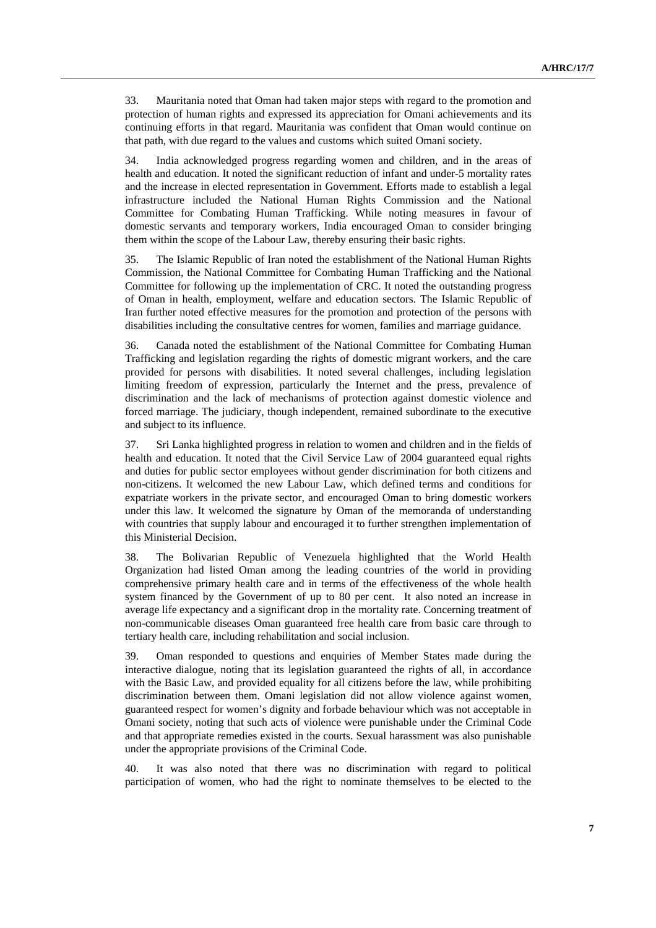33. Mauritania noted that Oman had taken major steps with regard to the promotion and protection of human rights and expressed its appreciation for Omani achievements and its continuing efforts in that regard. Mauritania was confident that Oman would continue on that path, with due regard to the values and customs which suited Omani society.

34. India acknowledged progress regarding women and children, and in the areas of health and education. It noted the significant reduction of infant and under-5 mortality rates and the increase in elected representation in Government. Efforts made to establish a legal infrastructure included the National Human Rights Commission and the National Committee for Combating Human Trafficking. While noting measures in favour of domestic servants and temporary workers, India encouraged Oman to consider bringing them within the scope of the Labour Law, thereby ensuring their basic rights.

35. The Islamic Republic of Iran noted the establishment of the National Human Rights Commission, the National Committee for Combating Human Trafficking and the National Committee for following up the implementation of CRC. It noted the outstanding progress of Oman in health, employment, welfare and education sectors. The Islamic Republic of Iran further noted effective measures for the promotion and protection of the persons with disabilities including the consultative centres for women, families and marriage guidance.

36. Canada noted the establishment of the National Committee for Combating Human Trafficking and legislation regarding the rights of domestic migrant workers, and the care provided for persons with disabilities. It noted several challenges, including legislation limiting freedom of expression, particularly the Internet and the press, prevalence of discrimination and the lack of mechanisms of protection against domestic violence and forced marriage. The judiciary, though independent, remained subordinate to the executive and subject to its influence.

37. Sri Lanka highlighted progress in relation to women and children and in the fields of health and education. It noted that the Civil Service Law of 2004 guaranteed equal rights and duties for public sector employees without gender discrimination for both citizens and non-citizens. It welcomed the new Labour Law, which defined terms and conditions for expatriate workers in the private sector, and encouraged Oman to bring domestic workers under this law. It welcomed the signature by Oman of the memoranda of understanding with countries that supply labour and encouraged it to further strengthen implementation of this Ministerial Decision.

38. The Bolivarian Republic of Venezuela highlighted that the World Health Organization had listed Oman among the leading countries of the world in providing comprehensive primary health care and in terms of the effectiveness of the whole health system financed by the Government of up to 80 per cent. It also noted an increase in average life expectancy and a significant drop in the mortality rate. Concerning treatment of non-communicable diseases Oman guaranteed free health care from basic care through to tertiary health care, including rehabilitation and social inclusion.

39. Oman responded to questions and enquiries of Member States made during the interactive dialogue, noting that its legislation guaranteed the rights of all, in accordance with the Basic Law, and provided equality for all citizens before the law, while prohibiting discrimination between them. Omani legislation did not allow violence against women, guaranteed respect for women's dignity and forbade behaviour which was not acceptable in Omani society, noting that such acts of violence were punishable under the Criminal Code and that appropriate remedies existed in the courts. Sexual harassment was also punishable under the appropriate provisions of the Criminal Code.

40. It was also noted that there was no discrimination with regard to political participation of women, who had the right to nominate themselves to be elected to the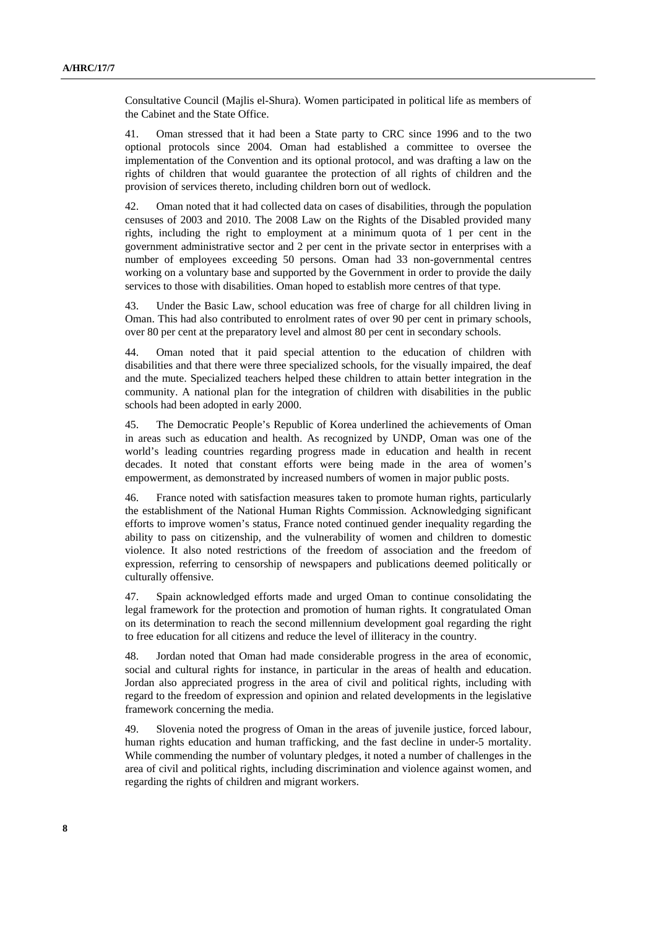Consultative Council (Majlis el-Shura). Women participated in political life as members of the Cabinet and the State Office.

41. Oman stressed that it had been a State party to CRC since 1996 and to the two optional protocols since 2004. Oman had established a committee to oversee the implementation of the Convention and its optional protocol, and was drafting a law on the rights of children that would guarantee the protection of all rights of children and the provision of services thereto, including children born out of wedlock.

42. Oman noted that it had collected data on cases of disabilities, through the population censuses of 2003 and 2010. The 2008 Law on the Rights of the Disabled provided many rights, including the right to employment at a minimum quota of 1 per cent in the government administrative sector and 2 per cent in the private sector in enterprises with a number of employees exceeding 50 persons. Oman had 33 non-governmental centres working on a voluntary base and supported by the Government in order to provide the daily services to those with disabilities. Oman hoped to establish more centres of that type.

43. Under the Basic Law, school education was free of charge for all children living in Oman. This had also contributed to enrolment rates of over 90 per cent in primary schools, over 80 per cent at the preparatory level and almost 80 per cent in secondary schools.

44. Oman noted that it paid special attention to the education of children with disabilities and that there were three specialized schools, for the visually impaired, the deaf and the mute. Specialized teachers helped these children to attain better integration in the community. A national plan for the integration of children with disabilities in the public schools had been adopted in early 2000.

45. The Democratic People's Republic of Korea underlined the achievements of Oman in areas such as education and health. As recognized by UNDP, Oman was one of the world's leading countries regarding progress made in education and health in recent decades. It noted that constant efforts were being made in the area of women's empowerment, as demonstrated by increased numbers of women in major public posts.

46. France noted with satisfaction measures taken to promote human rights, particularly the establishment of the National Human Rights Commission. Acknowledging significant efforts to improve women's status, France noted continued gender inequality regarding the ability to pass on citizenship, and the vulnerability of women and children to domestic violence. It also noted restrictions of the freedom of association and the freedom of expression, referring to censorship of newspapers and publications deemed politically or culturally offensive.

47. Spain acknowledged efforts made and urged Oman to continue consolidating the legal framework for the protection and promotion of human rights. It congratulated Oman on its determination to reach the second millennium development goal regarding the right to free education for all citizens and reduce the level of illiteracy in the country.

48. Jordan noted that Oman had made considerable progress in the area of economic, social and cultural rights for instance, in particular in the areas of health and education. Jordan also appreciated progress in the area of civil and political rights, including with regard to the freedom of expression and opinion and related developments in the legislative framework concerning the media.

49. Slovenia noted the progress of Oman in the areas of juvenile justice, forced labour, human rights education and human trafficking, and the fast decline in under-5 mortality. While commending the number of voluntary pledges, it noted a number of challenges in the area of civil and political rights, including discrimination and violence against women, and regarding the rights of children and migrant workers.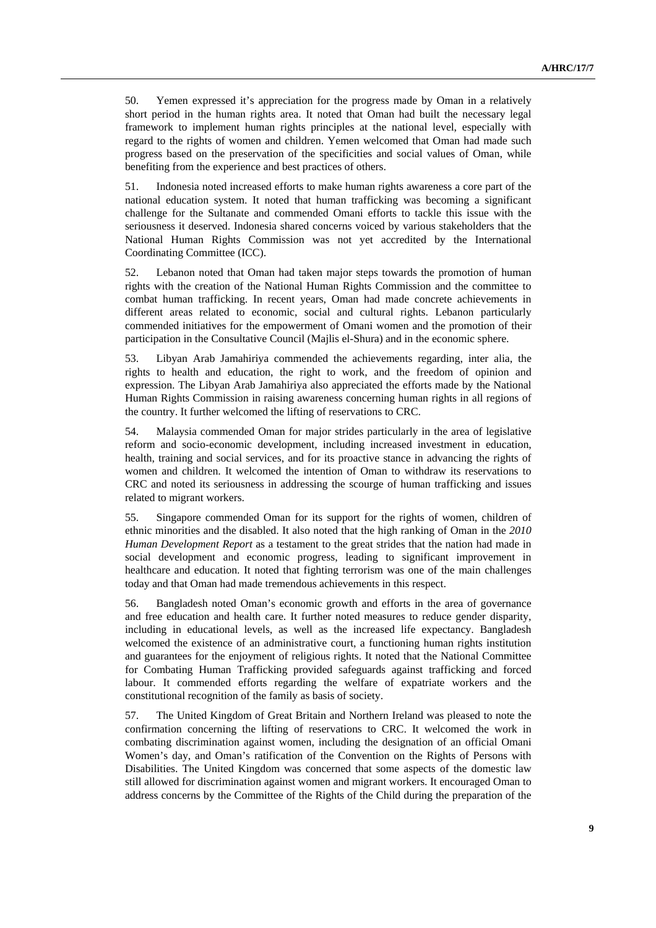50. Yemen expressed it's appreciation for the progress made by Oman in a relatively short period in the human rights area. It noted that Oman had built the necessary legal framework to implement human rights principles at the national level, especially with regard to the rights of women and children. Yemen welcomed that Oman had made such progress based on the preservation of the specificities and social values of Oman, while benefiting from the experience and best practices of others.

51. Indonesia noted increased efforts to make human rights awareness a core part of the national education system. It noted that human trafficking was becoming a significant challenge for the Sultanate and commended Omani efforts to tackle this issue with the seriousness it deserved. Indonesia shared concerns voiced by various stakeholders that the National Human Rights Commission was not yet accredited by the International Coordinating Committee (ICC).

52. Lebanon noted that Oman had taken major steps towards the promotion of human rights with the creation of the National Human Rights Commission and the committee to combat human trafficking. In recent years, Oman had made concrete achievements in different areas related to economic, social and cultural rights. Lebanon particularly commended initiatives for the empowerment of Omani women and the promotion of their participation in the Consultative Council (Majlis el-Shura) and in the economic sphere.

53. Libyan Arab Jamahiriya commended the achievements regarding, inter alia, the rights to health and education, the right to work, and the freedom of opinion and expression. The Libyan Arab Jamahiriya also appreciated the efforts made by the National Human Rights Commission in raising awareness concerning human rights in all regions of the country. It further welcomed the lifting of reservations to CRC.

54. Malaysia commended Oman for major strides particularly in the area of legislative reform and socio-economic development, including increased investment in education, health, training and social services, and for its proactive stance in advancing the rights of women and children. It welcomed the intention of Oman to withdraw its reservations to CRC and noted its seriousness in addressing the scourge of human trafficking and issues related to migrant workers.

55. Singapore commended Oman for its support for the rights of women, children of ethnic minorities and the disabled. It also noted that the high ranking of Oman in the *2010 Human Development Report* as a testament to the great strides that the nation had made in social development and economic progress, leading to significant improvement in healthcare and education. It noted that fighting terrorism was one of the main challenges today and that Oman had made tremendous achievements in this respect.

56. Bangladesh noted Oman's economic growth and efforts in the area of governance and free education and health care. It further noted measures to reduce gender disparity, including in educational levels, as well as the increased life expectancy. Bangladesh welcomed the existence of an administrative court, a functioning human rights institution and guarantees for the enjoyment of religious rights. It noted that the National Committee for Combating Human Trafficking provided safeguards against trafficking and forced labour. It commended efforts regarding the welfare of expatriate workers and the constitutional recognition of the family as basis of society.

57. The United Kingdom of Great Britain and Northern Ireland was pleased to note the confirmation concerning the lifting of reservations to CRC. It welcomed the work in combating discrimination against women, including the designation of an official Omani Women's day, and Oman's ratification of the Convention on the Rights of Persons with Disabilities. The United Kingdom was concerned that some aspects of the domestic law still allowed for discrimination against women and migrant workers. It encouraged Oman to address concerns by the Committee of the Rights of the Child during the preparation of the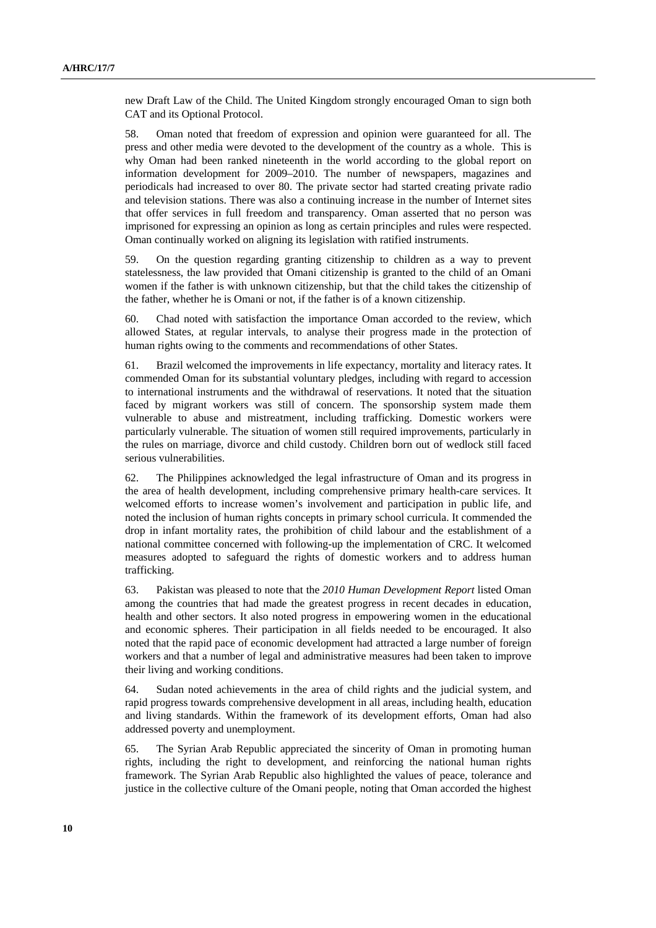new Draft Law of the Child. The United Kingdom strongly encouraged Oman to sign both CAT and its Optional Protocol.

58. Oman noted that freedom of expression and opinion were guaranteed for all. The press and other media were devoted to the development of the country as a whole. This is why Oman had been ranked nineteenth in the world according to the global report on information development for 2009–2010. The number of newspapers, magazines and periodicals had increased to over 80. The private sector had started creating private radio and television stations. There was also a continuing increase in the number of Internet sites that offer services in full freedom and transparency. Oman asserted that no person was imprisoned for expressing an opinion as long as certain principles and rules were respected. Oman continually worked on aligning its legislation with ratified instruments.

59. On the question regarding granting citizenship to children as a way to prevent statelessness, the law provided that Omani citizenship is granted to the child of an Omani women if the father is with unknown citizenship, but that the child takes the citizenship of the father, whether he is Omani or not, if the father is of a known citizenship.

60. Chad noted with satisfaction the importance Oman accorded to the review, which allowed States, at regular intervals, to analyse their progress made in the protection of human rights owing to the comments and recommendations of other States.

61. Brazil welcomed the improvements in life expectancy, mortality and literacy rates. It commended Oman for its substantial voluntary pledges, including with regard to accession to international instruments and the withdrawal of reservations. It noted that the situation faced by migrant workers was still of concern. The sponsorship system made them vulnerable to abuse and mistreatment, including trafficking. Domestic workers were particularly vulnerable. The situation of women still required improvements, particularly in the rules on marriage, divorce and child custody. Children born out of wedlock still faced serious vulnerabilities.

62. The Philippines acknowledged the legal infrastructure of Oman and its progress in the area of health development, including comprehensive primary health-care services. It welcomed efforts to increase women's involvement and participation in public life, and noted the inclusion of human rights concepts in primary school curricula. It commended the drop in infant mortality rates, the prohibition of child labour and the establishment of a national committee concerned with following-up the implementation of CRC. It welcomed measures adopted to safeguard the rights of domestic workers and to address human trafficking.

63. Pakistan was pleased to note that the *2010 Human Development Report* listed Oman among the countries that had made the greatest progress in recent decades in education, health and other sectors. It also noted progress in empowering women in the educational and economic spheres. Their participation in all fields needed to be encouraged. It also noted that the rapid pace of economic development had attracted a large number of foreign workers and that a number of legal and administrative measures had been taken to improve their living and working conditions.

64. Sudan noted achievements in the area of child rights and the judicial system, and rapid progress towards comprehensive development in all areas, including health, education and living standards. Within the framework of its development efforts, Oman had also addressed poverty and unemployment.

65. The Syrian Arab Republic appreciated the sincerity of Oman in promoting human rights, including the right to development, and reinforcing the national human rights framework. The Syrian Arab Republic also highlighted the values of peace, tolerance and justice in the collective culture of the Omani people, noting that Oman accorded the highest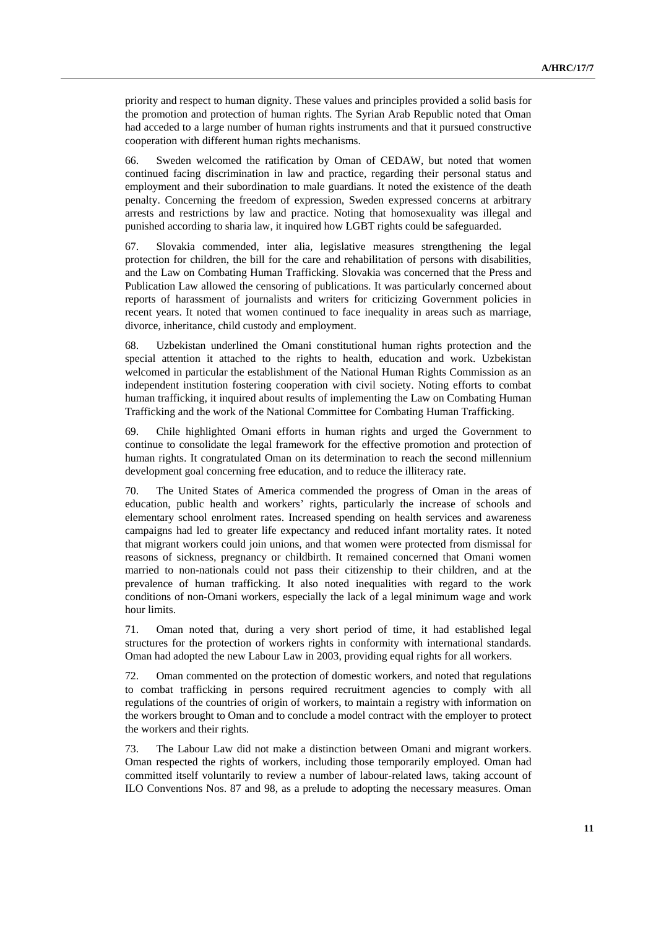priority and respect to human dignity. These values and principles provided a solid basis for the promotion and protection of human rights. The Syrian Arab Republic noted that Oman had acceded to a large number of human rights instruments and that it pursued constructive cooperation with different human rights mechanisms.

66. Sweden welcomed the ratification by Oman of CEDAW, but noted that women continued facing discrimination in law and practice, regarding their personal status and employment and their subordination to male guardians. It noted the existence of the death penalty. Concerning the freedom of expression, Sweden expressed concerns at arbitrary arrests and restrictions by law and practice. Noting that homosexuality was illegal and punished according to sharia law, it inquired how LGBT rights could be safeguarded.

67. Slovakia commended, inter alia, legislative measures strengthening the legal protection for children, the bill for the care and rehabilitation of persons with disabilities, and the Law on Combating Human Trafficking. Slovakia was concerned that the Press and Publication Law allowed the censoring of publications. It was particularly concerned about reports of harassment of journalists and writers for criticizing Government policies in recent years. It noted that women continued to face inequality in areas such as marriage, divorce, inheritance, child custody and employment.

68. Uzbekistan underlined the Omani constitutional human rights protection and the special attention it attached to the rights to health, education and work. Uzbekistan welcomed in particular the establishment of the National Human Rights Commission as an independent institution fostering cooperation with civil society. Noting efforts to combat human trafficking, it inquired about results of implementing the Law on Combating Human Trafficking and the work of the National Committee for Combating Human Trafficking.

69. Chile highlighted Omani efforts in human rights and urged the Government to continue to consolidate the legal framework for the effective promotion and protection of human rights. It congratulated Oman on its determination to reach the second millennium development goal concerning free education, and to reduce the illiteracy rate.

70. The United States of America commended the progress of Oman in the areas of education, public health and workers' rights, particularly the increase of schools and elementary school enrolment rates. Increased spending on health services and awareness campaigns had led to greater life expectancy and reduced infant mortality rates. It noted that migrant workers could join unions, and that women were protected from dismissal for reasons of sickness, pregnancy or childbirth. It remained concerned that Omani women married to non-nationals could not pass their citizenship to their children, and at the prevalence of human trafficking. It also noted inequalities with regard to the work conditions of non-Omani workers, especially the lack of a legal minimum wage and work hour limits.

71. Oman noted that, during a very short period of time, it had established legal structures for the protection of workers rights in conformity with international standards. Oman had adopted the new Labour Law in 2003, providing equal rights for all workers.

72. Oman commented on the protection of domestic workers, and noted that regulations to combat trafficking in persons required recruitment agencies to comply with all regulations of the countries of origin of workers, to maintain a registry with information on the workers brought to Oman and to conclude a model contract with the employer to protect the workers and their rights.

73. The Labour Law did not make a distinction between Omani and migrant workers. Oman respected the rights of workers, including those temporarily employed. Oman had committed itself voluntarily to review a number of labour-related laws, taking account of ILO Conventions Nos. 87 and 98, as a prelude to adopting the necessary measures. Oman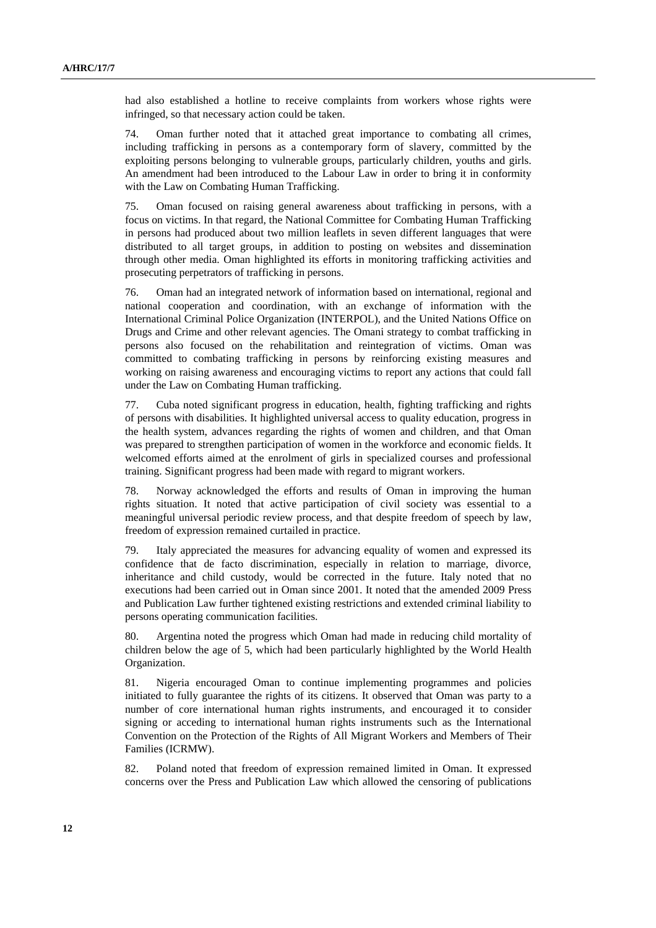had also established a hotline to receive complaints from workers whose rights were infringed, so that necessary action could be taken.

74. Oman further noted that it attached great importance to combating all crimes, including trafficking in persons as a contemporary form of slavery, committed by the exploiting persons belonging to vulnerable groups, particularly children, youths and girls. An amendment had been introduced to the Labour Law in order to bring it in conformity with the Law on Combating Human Trafficking.

75. Oman focused on raising general awareness about trafficking in persons, with a focus on victims. In that regard, the National Committee for Combating Human Trafficking in persons had produced about two million leaflets in seven different languages that were distributed to all target groups, in addition to posting on websites and dissemination through other media. Oman highlighted its efforts in monitoring trafficking activities and prosecuting perpetrators of trafficking in persons.

76. Oman had an integrated network of information based on international, regional and national cooperation and coordination, with an exchange of information with the International Criminal Police Organization (INTERPOL), and the United Nations Office on Drugs and Crime and other relevant agencies. The Omani strategy to combat trafficking in persons also focused on the rehabilitation and reintegration of victims. Oman was committed to combating trafficking in persons by reinforcing existing measures and working on raising awareness and encouraging victims to report any actions that could fall under the Law on Combating Human trafficking.

77. Cuba noted significant progress in education, health, fighting trafficking and rights of persons with disabilities. It highlighted universal access to quality education, progress in the health system, advances regarding the rights of women and children, and that Oman was prepared to strengthen participation of women in the workforce and economic fields. It welcomed efforts aimed at the enrolment of girls in specialized courses and professional training. Significant progress had been made with regard to migrant workers.

78. Norway acknowledged the efforts and results of Oman in improving the human rights situation. It noted that active participation of civil society was essential to a meaningful universal periodic review process, and that despite freedom of speech by law, freedom of expression remained curtailed in practice.

79. Italy appreciated the measures for advancing equality of women and expressed its confidence that de facto discrimination, especially in relation to marriage, divorce, inheritance and child custody, would be corrected in the future. Italy noted that no executions had been carried out in Oman since 2001. It noted that the amended 2009 Press and Publication Law further tightened existing restrictions and extended criminal liability to persons operating communication facilities.

80. Argentina noted the progress which Oman had made in reducing child mortality of children below the age of 5, which had been particularly highlighted by the World Health Organization.

81. Nigeria encouraged Oman to continue implementing programmes and policies initiated to fully guarantee the rights of its citizens. It observed that Oman was party to a number of core international human rights instruments, and encouraged it to consider signing or acceding to international human rights instruments such as the International Convention on the Protection of the Rights of All Migrant Workers and Members of Their Families (ICRMW).

82. Poland noted that freedom of expression remained limited in Oman. It expressed concerns over the Press and Publication Law which allowed the censoring of publications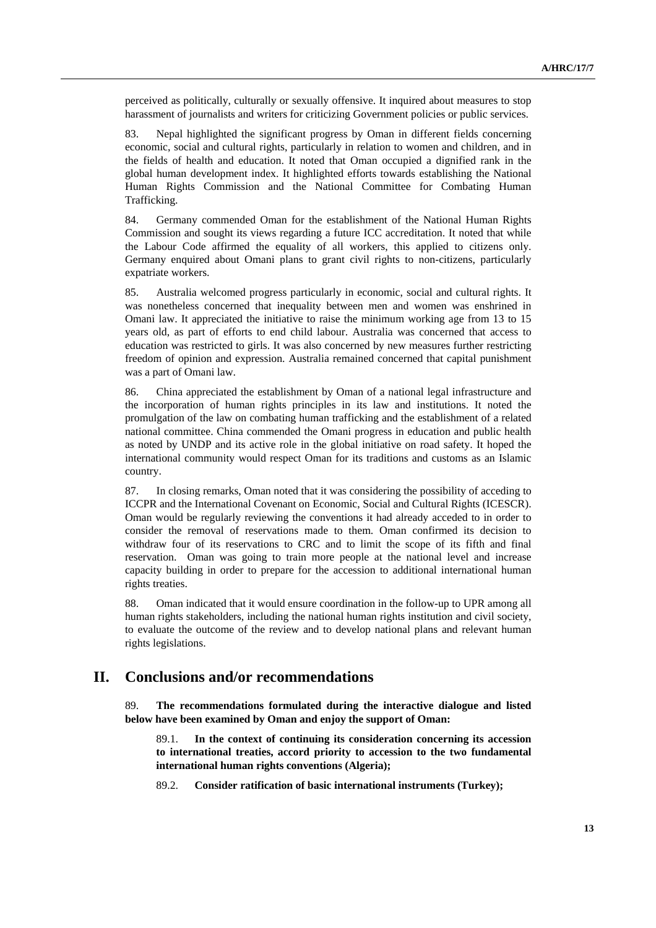perceived as politically, culturally or sexually offensive. It inquired about measures to stop harassment of journalists and writers for criticizing Government policies or public services.

83. Nepal highlighted the significant progress by Oman in different fields concerning economic, social and cultural rights, particularly in relation to women and children, and in the fields of health and education. It noted that Oman occupied a dignified rank in the global human development index. It highlighted efforts towards establishing the National Human Rights Commission and the National Committee for Combating Human Trafficking.

84. Germany commended Oman for the establishment of the National Human Rights Commission and sought its views regarding a future ICC accreditation. It noted that while the Labour Code affirmed the equality of all workers, this applied to citizens only. Germany enquired about Omani plans to grant civil rights to non-citizens, particularly expatriate workers.

85. Australia welcomed progress particularly in economic, social and cultural rights. It was nonetheless concerned that inequality between men and women was enshrined in Omani law. It appreciated the initiative to raise the minimum working age from 13 to 15 years old, as part of efforts to end child labour. Australia was concerned that access to education was restricted to girls. It was also concerned by new measures further restricting freedom of opinion and expression. Australia remained concerned that capital punishment was a part of Omani law.

86. China appreciated the establishment by Oman of a national legal infrastructure and the incorporation of human rights principles in its law and institutions. It noted the promulgation of the law on combating human trafficking and the establishment of a related national committee. China commended the Omani progress in education and public health as noted by UNDP and its active role in the global initiative on road safety. It hoped the international community would respect Oman for its traditions and customs as an Islamic country.

87. In closing remarks, Oman noted that it was considering the possibility of acceding to ICCPR and the International Covenant on Economic, Social and Cultural Rights (ICESCR). Oman would be regularly reviewing the conventions it had already acceded to in order to consider the removal of reservations made to them. Oman confirmed its decision to withdraw four of its reservations to CRC and to limit the scope of its fifth and final reservation. Oman was going to train more people at the national level and increase capacity building in order to prepare for the accession to additional international human rights treaties.

88. Oman indicated that it would ensure coordination in the follow-up to UPR among all human rights stakeholders, including the national human rights institution and civil society, to evaluate the outcome of the review and to develop national plans and relevant human rights legislations.

## **II. Conclusions and/or recommendations**

89. **The recommendations formulated during the interactive dialogue and listed below have been examined by Oman and enjoy the support of Oman:**

 89.1. **In the context of continuing its consideration concerning its accession to international treaties, accord priority to accession to the two fundamental international human rights conventions (Algeria);**

89.2. **Consider ratification of basic international instruments (Turkey);**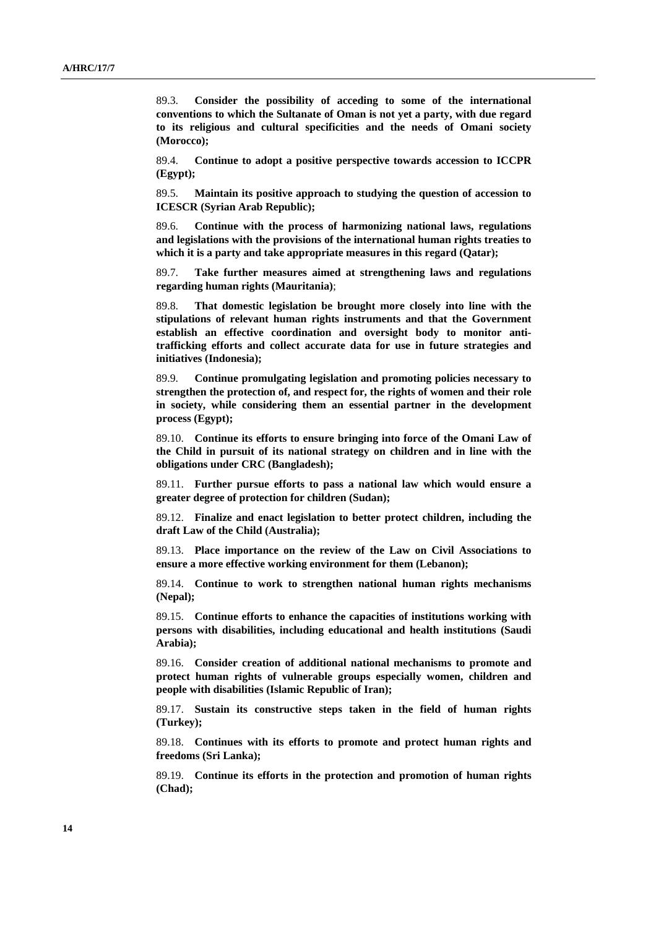89.3. **Consider the possibility of acceding to some of the international conventions to which the Sultanate of Oman is not yet a party, with due regard to its religious and cultural specificities and the needs of Omani society (Morocco);**

 89.4. **Continue to adopt a positive perspective towards accession to ICCPR (Egypt);**

 89.5. **Maintain its positive approach to studying the question of accession to ICESCR (Syrian Arab Republic);**

 89.6. **Continue with the process of harmonizing national laws, regulations and legislations with the provisions of the international human rights treaties to which it is a party and take appropriate measures in this regard (Qatar);**

 89.7. **Take further measures aimed at strengthening laws and regulations regarding human rights (Mauritania)**;

 89.8. **That domestic legislation be brought more closely into line with the stipulations of relevant human rights instruments and that the Government establish an effective coordination and oversight body to monitor antitrafficking efforts and collect accurate data for use in future strategies and initiatives (Indonesia);**

 89.9. **Continue promulgating legislation and promoting policies necessary to strengthen the protection of, and respect for, the rights of women and their role in society, while considering them an essential partner in the development process (Egypt);**

 89.10. **Continue its efforts to ensure bringing into force of the Omani Law of the Child in pursuit of its national strategy on children and in line with the obligations under CRC (Bangladesh);**

 89.11. **Further pursue efforts to pass a national law which would ensure a greater degree of protection for children (Sudan);**

 89.12. **Finalize and enact legislation to better protect children, including the draft Law of the Child (Australia);** 

 89.13. **Place importance on the review of the Law on Civil Associations to ensure a more effective working environment for them (Lebanon);**

 89.14. **Continue to work to strengthen national human rights mechanisms (Nepal);**

 89.15. **Continue efforts to enhance the capacities of institutions working with persons with disabilities, including educational and health institutions (Saudi Arabia);**

 89.16. **Consider creation of additional national mechanisms to promote and protect human rights of vulnerable groups especially women, children and people with disabilities (Islamic Republic of Iran);**

 89.17. **Sustain its constructive steps taken in the field of human rights (Turkey);**

 89.18. **Continues with its efforts to promote and protect human rights and freedoms (Sri Lanka);**

 89.19. **Continue its efforts in the protection and promotion of human rights (Chad);**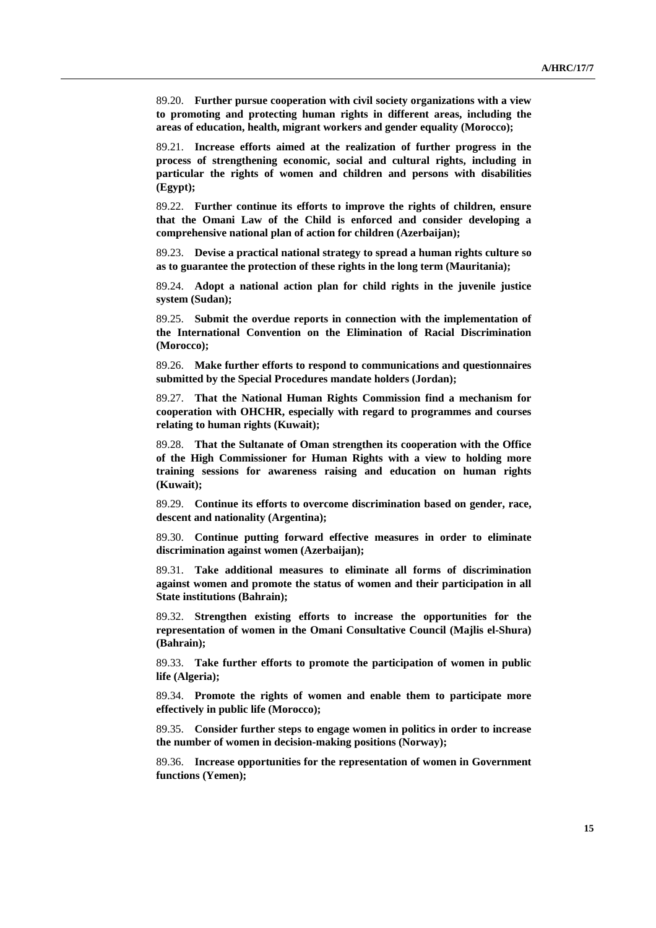89.20. **Further pursue cooperation with civil society organizations with a view to promoting and protecting human rights in different areas, including the areas of education, health, migrant workers and gender equality (Morocco);**

 89.21. **Increase efforts aimed at the realization of further progress in the process of strengthening economic, social and cultural rights, including in particular the rights of women and children and persons with disabilities (Egypt);**

 89.22. **Further continue its efforts to improve the rights of children, ensure that the Omani Law of the Child is enforced and consider developing a comprehensive national plan of action for children (Azerbaijan);**

 89.23. **Devise a practical national strategy to spread a human rights culture so as to guarantee the protection of these rights in the long term (Mauritania);**

 89.24. **Adopt a national action plan for child rights in the juvenile justice system (Sudan);**

 89.25. **Submit the overdue reports in connection with the implementation of the International Convention on the Elimination of Racial Discrimination (Morocco);**

 89.26. **Make further efforts to respond to communications and questionnaires submitted by the Special Procedures mandate holders (Jordan);**

 89.27. **That the National Human Rights Commission find a mechanism for cooperation with OHCHR, especially with regard to programmes and courses relating to human rights (Kuwait);**

 89.28. **That the Sultanate of Oman strengthen its cooperation with the Office of the High Commissioner for Human Rights with a view to holding more training sessions for awareness raising and education on human rights (Kuwait);** 

 89.29. **Continue its efforts to overcome discrimination based on gender, race, descent and nationality (Argentina);**

 89.30. **Continue putting forward effective measures in order to eliminate discrimination against women (Azerbaijan);**

 89.31. **Take additional measures to eliminate all forms of discrimination against women and promote the status of women and their participation in all State institutions (Bahrain);**

 89.32. **Strengthen existing efforts to increase the opportunities for the representation of women in the Omani Consultative Council (Majlis el-Shura) (Bahrain);**

 89.33. **Take further efforts to promote the participation of women in public life (Algeria);**

 89.34. **Promote the rights of women and enable them to participate more effectively in public life (Morocco);**

 89.35. **Consider further steps to engage women in politics in order to increase the number of women in decision-making positions (Norway);**

 89.36. **Increase opportunities for the representation of women in Government functions (Yemen);**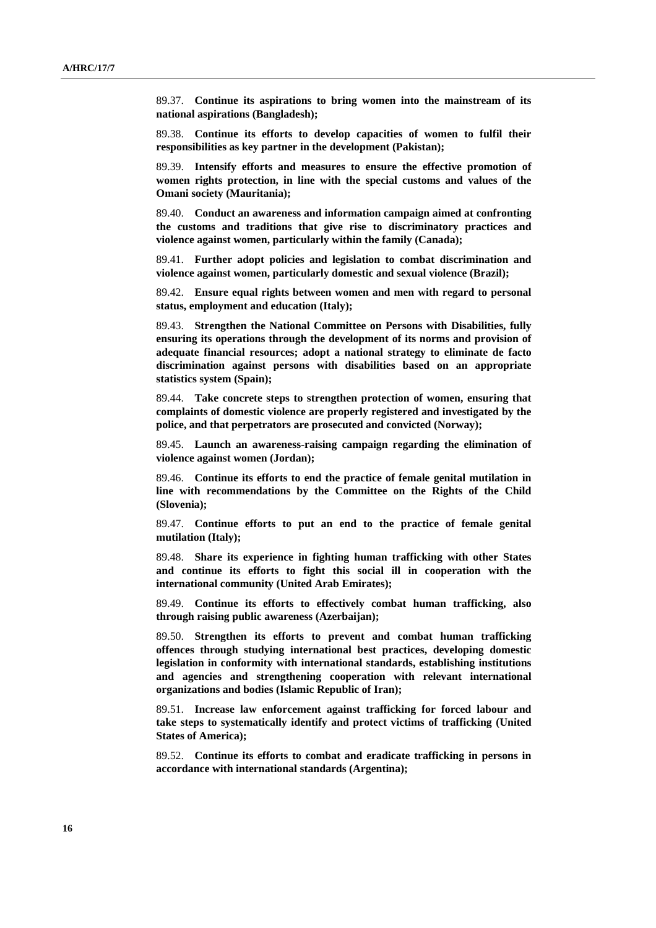89.37. **Continue its aspirations to bring women into the mainstream of its national aspirations (Bangladesh);**

 89.38. **Continue its efforts to develop capacities of women to fulfil their responsibilities as key partner in the development (Pakistan);**

 89.39. **Intensify efforts and measures to ensure the effective promotion of women rights protection, in line with the special customs and values of the Omani society (Mauritania);**

 89.40. **Conduct an awareness and information campaign aimed at confronting the customs and traditions that give rise to discriminatory practices and violence against women, particularly within the family (Canada);**

 89.41. **Further adopt policies and legislation to combat discrimination and violence against women, particularly domestic and sexual violence (Brazil);**

 89.42. **Ensure equal rights between women and men with regard to personal status, employment and education (Italy);**

 89.43. **Strengthen the National Committee on Persons with Disabilities, fully ensuring its operations through the development of its norms and provision of adequate financial resources; adopt a national strategy to eliminate de facto discrimination against persons with disabilities based on an appropriate statistics system (Spain);**

 89.44. **Take concrete steps to strengthen protection of women, ensuring that complaints of domestic violence are properly registered and investigated by the police, and that perpetrators are prosecuted and convicted (Norway);**

 89.45. **Launch an awareness-raising campaign regarding the elimination of violence against women (Jordan);**

 89.46. **Continue its efforts to end the practice of female genital mutilation in line with recommendations by the Committee on the Rights of the Child (Slovenia);**

 89.47. **Continue efforts to put an end to the practice of female genital mutilation (Italy);**

 89.48. **Share its experience in fighting human trafficking with other States and continue its efforts to fight this social ill in cooperation with the international community (United Arab Emirates);**

 89.49. **Continue its efforts to effectively combat human trafficking, also through raising public awareness (Azerbaijan);**

 89.50. **Strengthen its efforts to prevent and combat human trafficking offences through studying international best practices, developing domestic legislation in conformity with international standards, establishing institutions and agencies and strengthening cooperation with relevant international organizations and bodies (Islamic Republic of Iran);**

 89.51. **Increase law enforcement against trafficking for forced labour and take steps to systematically identify and protect victims of trafficking (United States of America);**

 89.52. **Continue its efforts to combat and eradicate trafficking in persons in accordance with international standards (Argentina);**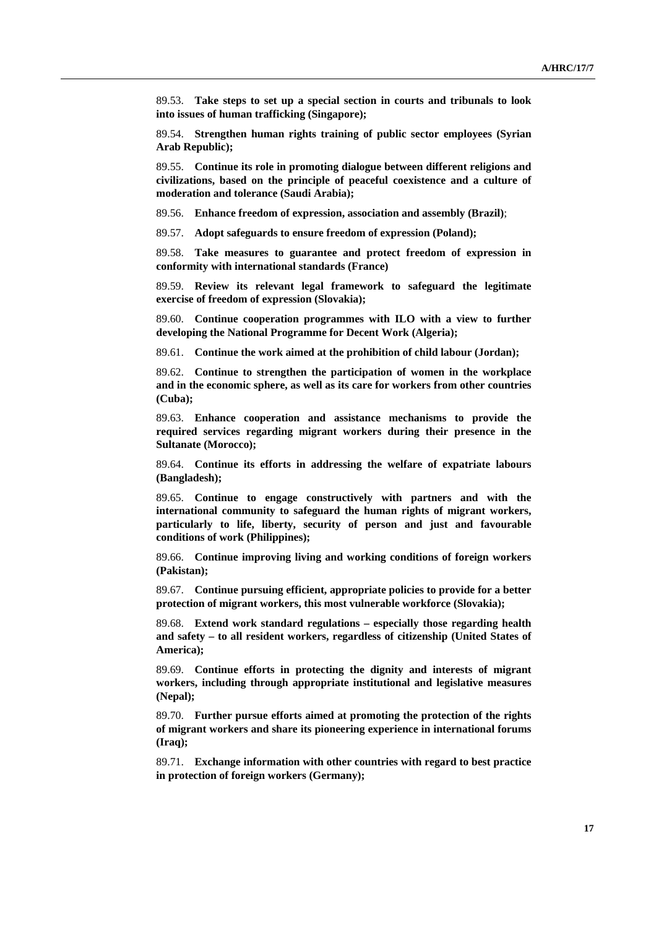89.53. **Take steps to set up a special section in courts and tribunals to look into issues of human trafficking (Singapore);**

 89.54. **Strengthen human rights training of public sector employees (Syrian Arab Republic);**

 89.55. **Continue its role in promoting dialogue between different religions and civilizations, based on the principle of peaceful coexistence and a culture of moderation and tolerance (Saudi Arabia);** 

89.56. **Enhance freedom of expression, association and assembly (Brazil)**;

89.57. **Adopt safeguards to ensure freedom of expression (Poland);** 

 89.58. **Take measures to guarantee and protect freedom of expression in conformity with international standards (France)**

 89.59. **Review its relevant legal framework to safeguard the legitimate exercise of freedom of expression (Slovakia);**

 89.60. **Continue cooperation programmes with ILO with a view to further developing the National Programme for Decent Work (Algeria);**

89.61. **Continue the work aimed at the prohibition of child labour (Jordan);** 

 89.62. **Continue to strengthen the participation of women in the workplace and in the economic sphere, as well as its care for workers from other countries (Cuba);**

 89.63. **Enhance cooperation and assistance mechanisms to provide the required services regarding migrant workers during their presence in the Sultanate (Morocco);**

 89.64. **Continue its efforts in addressing the welfare of expatriate labours (Bangladesh);**

 89.65. **Continue to engage constructively with partners and with the international community to safeguard the human rights of migrant workers, particularly to life, liberty, security of person and just and favourable conditions of work (Philippines);**

 89.66. **Continue improving living and working conditions of foreign workers (Pakistan);**

 89.67. **Continue pursuing efficient, appropriate policies to provide for a better protection of migrant workers, this most vulnerable workforce (Slovakia);**

 89.68. **Extend work standard regulations – especially those regarding health and safety – to all resident workers, regardless of citizenship (United States of America);** 

 89.69. **Continue efforts in protecting the dignity and interests of migrant workers, including through appropriate institutional and legislative measures (Nepal);**

 89.70. **Further pursue efforts aimed at promoting the protection of the rights of migrant workers and share its pioneering experience in international forums (Iraq);**

 89.71. **Exchange information with other countries with regard to best practice in protection of foreign workers (Germany);**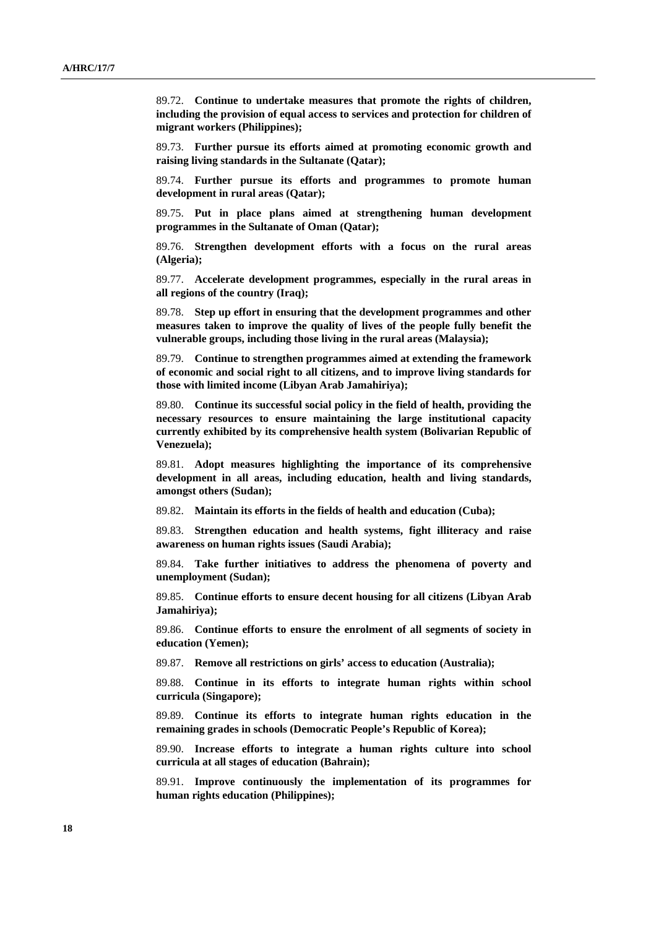89.72. **Continue to undertake measures that promote the rights of children, including the provision of equal access to services and protection for children of migrant workers (Philippines);**

 89.73. **Further pursue its efforts aimed at promoting economic growth and raising living standards in the Sultanate (Qatar);**

 89.74. **Further pursue its efforts and programmes to promote human development in rural areas (Qatar);**

 89.75. **Put in place plans aimed at strengthening human development programmes in the Sultanate of Oman (Qatar);**

 89.76. **Strengthen development efforts with a focus on the rural areas (Algeria);**

 89.77. **Accelerate development programmes, especially in the rural areas in all regions of the country (Iraq);**

 89.78. **Step up effort in ensuring that the development programmes and other measures taken to improve the quality of lives of the people fully benefit the vulnerable groups, including those living in the rural areas (Malaysia);**

 89.79. **Continue to strengthen programmes aimed at extending the framework of economic and social right to all citizens, and to improve living standards for those with limited income (Libyan Arab Jamahiriya);**

 89.80. **Continue its successful social policy in the field of health, providing the necessary resources to ensure maintaining the large institutional capacity currently exhibited by its comprehensive health system (Bolivarian Republic of Venezuela);**

 89.81. **Adopt measures highlighting the importance of its comprehensive development in all areas, including education, health and living standards, amongst others (Sudan);**

89.82. **Maintain its efforts in the fields of health and education (Cuba);**

 89.83. **Strengthen education and health systems, fight illiteracy and raise awareness on human rights issues (Saudi Arabia);**

 89.84. **Take further initiatives to address the phenomena of poverty and unemployment (Sudan);**

 89.85. **Continue efforts to ensure decent housing for all citizens (Libyan Arab Jamahiriya);**

 89.86. **Continue efforts to ensure the enrolment of all segments of society in education (Yemen);**

89.87. **Remove all restrictions on girls' access to education (Australia);**

 89.88. **Continue in its efforts to integrate human rights within school curricula (Singapore);**

 89.89. **Continue its efforts to integrate human rights education in the remaining grades in schools (Democratic People's Republic of Korea);**

 89.90. **Increase efforts to integrate a human rights culture into school curricula at all stages of education (Bahrain);**

 89.91. **Improve continuously the implementation of its programmes for human rights education (Philippines);**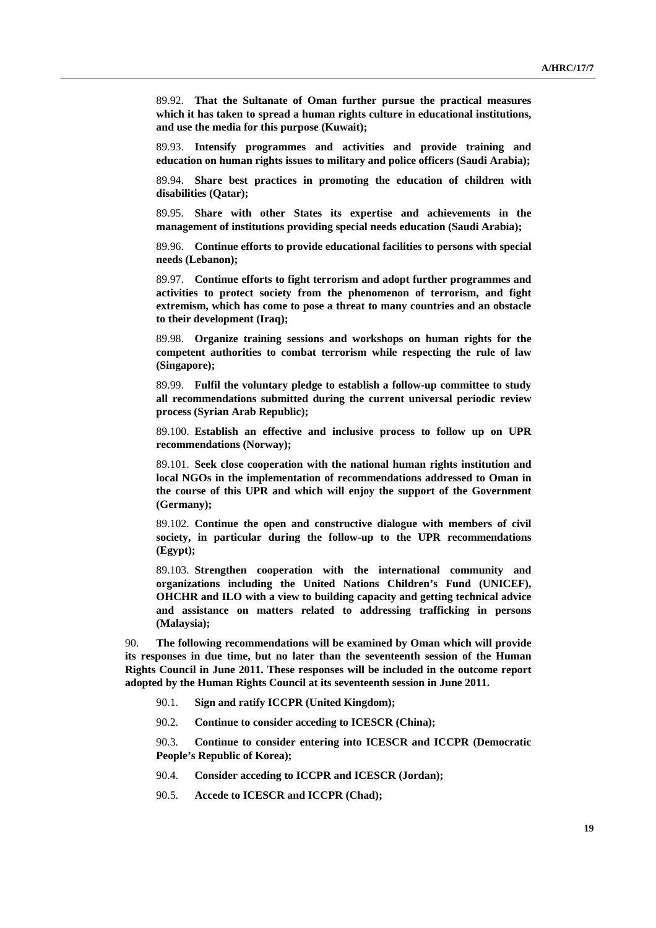89.92. **That the Sultanate of Oman further pursue the practical measures which it has taken to spread a human rights culture in educational institutions, and use the media for this purpose (Kuwait);** 

 89.93. **Intensify programmes and activities and provide training and education on human rights issues to military and police officers (Saudi Arabia);**

 89.94. **Share best practices in promoting the education of children with disabilities (Qatar);**

 89.95. **Share with other States its expertise and achievements in the management of institutions providing special needs education (Saudi Arabia);**

 89.96. **Continue efforts to provide educational facilities to persons with special needs (Lebanon);**

 89.97. **Continue efforts to fight terrorism and adopt further programmes and activities to protect society from the phenomenon of terrorism, and fight extremism, which has come to pose a threat to many countries and an obstacle to their development (Iraq);**

 89.98. **Organize training sessions and workshops on human rights for the competent authorities to combat terrorism while respecting the rule of law (Singapore);**

 89.99. **Fulfil the voluntary pledge to establish a follow-up committee to study all recommendations submitted during the current universal periodic review process (Syrian Arab Republic);**

 89.100. **Establish an effective and inclusive process to follow up on UPR recommendations (Norway);**

 89.101. **Seek close cooperation with the national human rights institution and local NGOs in the implementation of recommendations addressed to Oman in the course of this UPR and which will enjoy the support of the Government (Germany);**

 89.102. **Continue the open and constructive dialogue with members of civil society, in particular during the follow-up to the UPR recommendations (Egypt);**

 89.103. **Strengthen cooperation with the international community and organizations including the United Nations Children's Fund (UNICEF), OHCHR and ILO with a view to building capacity and getting technical advice and assistance on matters related to addressing trafficking in persons (Malaysia);**

90. **The following recommendations will be examined by Oman which will provide its responses in due time, but no later than the seventeenth session of the Human Rights Council in June 2011. These responses will be included in the outcome report adopted by the Human Rights Council at its seventeenth session in June 2011.**

- 90.1. **Sign and ratify ICCPR (United Kingdom);**
- 90.2. **Continue to consider acceding to ICESCR (China);**

 90.3. **Continue to consider entering into ICESCR and ICCPR (Democratic People's Republic of Korea);**

- 90.4. **Consider acceding to ICCPR and ICESCR (Jordan);**
- 90.5. **Accede to ICESCR and ICCPR (Chad);**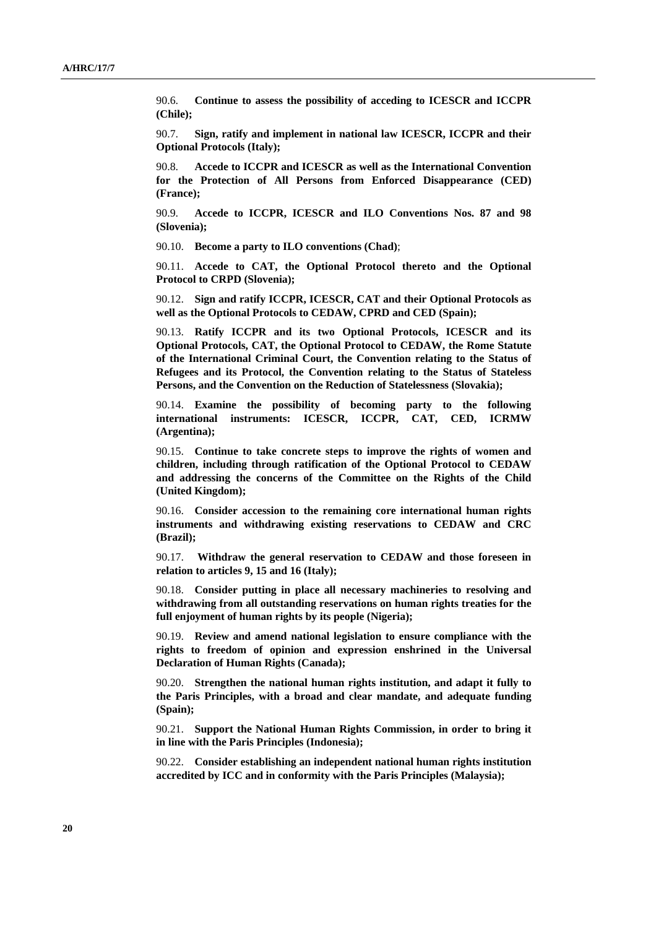90.6. **Continue to assess the possibility of acceding to ICESCR and ICCPR (Chile);**

 90.7. **Sign, ratify and implement in national law ICESCR, ICCPR and their Optional Protocols (Italy);**

 90.8. **Accede to ICCPR and ICESCR as well as the International Convention for the Protection of All Persons from Enforced Disappearance (CED) (France);**

 90.9. **Accede to ICCPR, ICESCR and ILO Conventions Nos. 87 and 98 (Slovenia);**

90.10. **Become a party to ILO conventions (Chad)**;

 90.11. **Accede to CAT, the Optional Protocol thereto and the Optional Protocol to CRPD (Slovenia);**

 90.12. **Sign and ratify ICCPR, ICESCR, CAT and their Optional Protocols as well as the Optional Protocols to CEDAW, CPRD and CED (Spain);**

 90.13. **Ratify ICCPR and its two Optional Protocols, ICESCR and its Optional Protocols, CAT, the Optional Protocol to CEDAW, the Rome Statute of the International Criminal Court, the Convention relating to the Status of Refugees and its Protocol, the Convention relating to the Status of Stateless Persons, and the Convention on the Reduction of Statelessness (Slovakia);**

 90.14. **Examine the possibility of becoming party to the following international instruments: ICESCR, ICCPR, CAT, CED, ICRMW (Argentina);** 

90.15. **Continue to take concrete steps to improve the rights of women and children, including through ratification of the Optional Protocol to CEDAW and addressing the concerns of the Committee on the Rights of the Child (United Kingdom);**

 90.16. **Consider accession to the remaining core international human rights instruments and withdrawing existing reservations to CEDAW and CRC (Brazil);** 

 90.17. **Withdraw the general reservation to CEDAW and those foreseen in relation to articles 9, 15 and 16 (Italy);**

 90.18. **Consider putting in place all necessary machineries to resolving and withdrawing from all outstanding reservations on human rights treaties for the full enjoyment of human rights by its people (Nigeria);**

 90.19. **Review and amend national legislation to ensure compliance with the rights to freedom of opinion and expression enshrined in the Universal Declaration of Human Rights (Canada);**

 90.20. **Strengthen the national human rights institution, and adapt it fully to the Paris Principles, with a broad and clear mandate, and adequate funding (Spain);**

 90.21. **Support the National Human Rights Commission, in order to bring it in line with the Paris Principles (Indonesia);**

 90.22. **Consider establishing an independent national human rights institution accredited by ICC and in conformity with the Paris Principles (Malaysia);**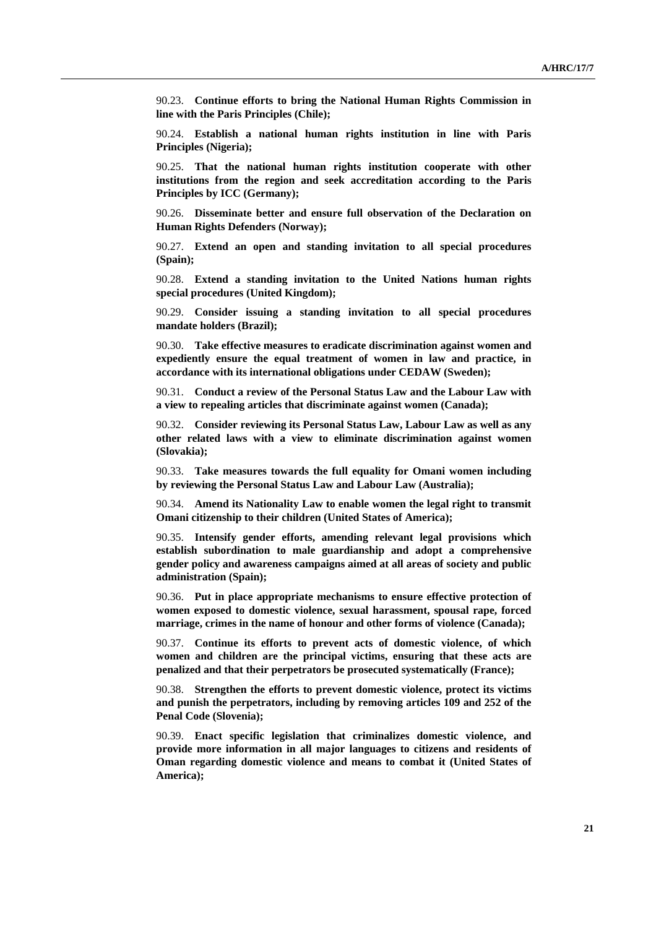90.23. **Continue efforts to bring the National Human Rights Commission in line with the Paris Principles (Chile);**

 90.24. **Establish a national human rights institution in line with Paris Principles (Nigeria);** 

 90.25. **That the national human rights institution cooperate with other institutions from the region and seek accreditation according to the Paris Principles by ICC (Germany);**

 90.26. **Disseminate better and ensure full observation of the Declaration on Human Rights Defenders (Norway);**

 90.27. **Extend an open and standing invitation to all special procedures (Spain);**

 90.28. **Extend a standing invitation to the United Nations human rights special procedures (United Kingdom);**

 90.29. **Consider issuing a standing invitation to all special procedures mandate holders (Brazil);**

 90.30. **Take effective measures to eradicate discrimination against women and expediently ensure the equal treatment of women in law and practice, in accordance with its international obligations under CEDAW (Sweden);**

 90.31. **Conduct a review of the Personal Status Law and the Labour Law with a view to repealing articles that discriminate against women (Canada);**

 90.32. **Consider reviewing its Personal Status Law, Labour Law as well as any other related laws with a view to eliminate discrimination against women (Slovakia);**

 90.33. **Take measures towards the full equality for Omani women including by reviewing the Personal Status Law and Labour Law (Australia);**

 90.34. **Amend its Nationality Law to enable women the legal right to transmit Omani citizenship to their children (United States of America);**

 90.35. **Intensify gender efforts, amending relevant legal provisions which establish subordination to male guardianship and adopt a comprehensive gender policy and awareness campaigns aimed at all areas of society and public administration (Spain);**

 90.36. **Put in place appropriate mechanisms to ensure effective protection of women exposed to domestic violence, sexual harassment, spousal rape, forced marriage, crimes in the name of honour and other forms of violence (Canada);**

 90.37. **Continue its efforts to prevent acts of domestic violence, of which women and children are the principal victims, ensuring that these acts are penalized and that their perpetrators be prosecuted systematically (France);**

 90.38. **Strengthen the efforts to prevent domestic violence, protect its victims and punish the perpetrators, including by removing articles 109 and 252 of the Penal Code (Slovenia);**

 90.39. **Enact specific legislation that criminalizes domestic violence, and provide more information in all major languages to citizens and residents of Oman regarding domestic violence and means to combat it (United States of America);**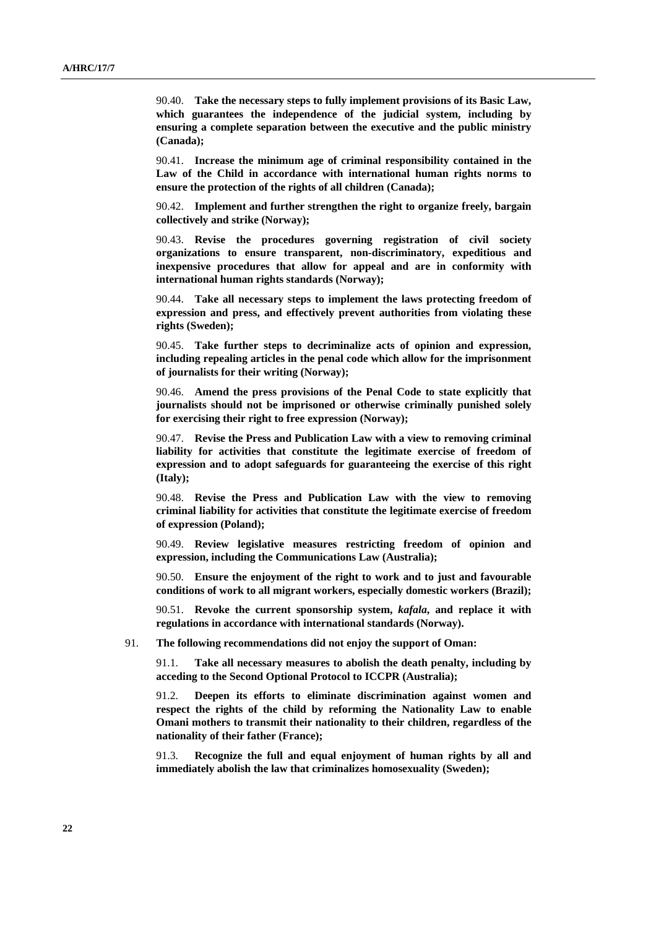90.40. **Take the necessary steps to fully implement provisions of its Basic Law, which guarantees the independence of the judicial system, including by ensuring a complete separation between the executive and the public ministry (Canada);**

 90.41. **Increase the minimum age of criminal responsibility contained in the Law of the Child in accordance with international human rights norms to ensure the protection of the rights of all children (Canada);**

 90.42. **Implement and further strengthen the right to organize freely, bargain collectively and strike (Norway);**

 90.43. **Revise the procedures governing registration of civil society organizations to ensure transparent, non-discriminatory, expeditious and inexpensive procedures that allow for appeal and are in conformity with international human rights standards (Norway);**

 90.44. **Take all necessary steps to implement the laws protecting freedom of expression and press, and effectively prevent authorities from violating these rights (Sweden);**

 90.45. **Take further steps to decriminalize acts of opinion and expression, including repealing articles in the penal code which allow for the imprisonment of journalists for their writing (Norway);**

 90.46. **Amend the press provisions of the Penal Code to state explicitly that journalists should not be imprisoned or otherwise criminally punished solely for exercising their right to free expression (Norway);**

 90.47. **Revise the Press and Publication Law with a view to removing criminal liability for activities that constitute the legitimate exercise of freedom of expression and to adopt safeguards for guaranteeing the exercise of this right (Italy);**

 90.48. **Revise the Press and Publication Law with the view to removing criminal liability for activities that constitute the legitimate exercise of freedom of expression (Poland);**

 90.49. **Review legislative measures restricting freedom of opinion and expression, including the Communications Law (Australia);**

 90.50. **Ensure the enjoyment of the right to work and to just and favourable conditions of work to all migrant workers, especially domestic workers (Brazil);**

 90.51. **Revoke the current sponsorship system,** *kafala***, and replace it with regulations in accordance with international standards (Norway).**

91. **The following recommendations did not enjoy the support of Oman:**

 91.1. **Take all necessary measures to abolish the death penalty, including by acceding to the Second Optional Protocol to ICCPR (Australia);**

 91.2. **Deepen its efforts to eliminate discrimination against women and respect the rights of the child by reforming the Nationality Law to enable Omani mothers to transmit their nationality to their children, regardless of the nationality of their father (France);**

 91.3. **Recognize the full and equal enjoyment of human rights by all and immediately abolish the law that criminalizes homosexuality (Sweden);**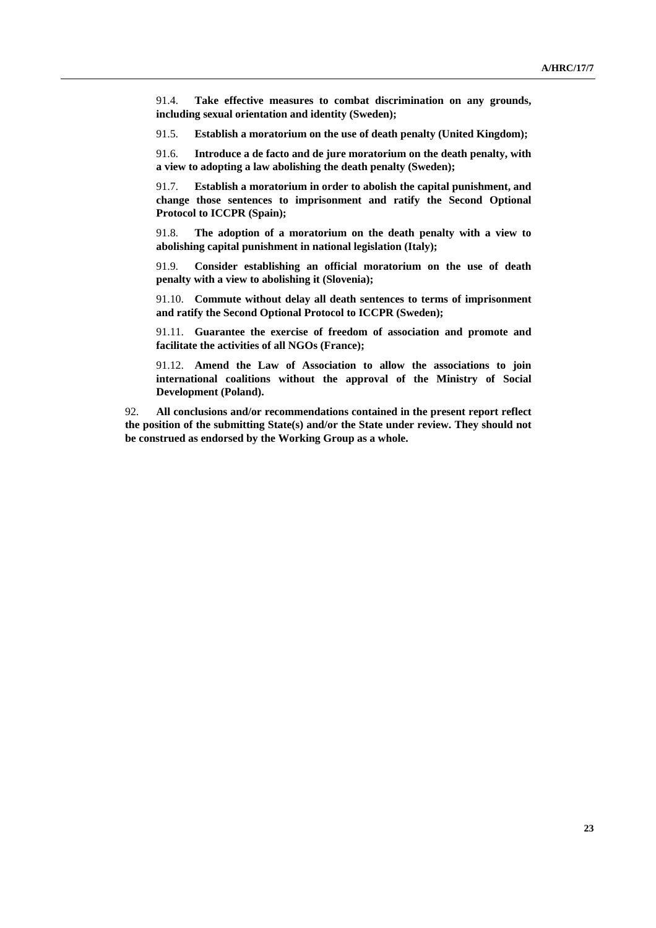91.4. **Take effective measures to combat discrimination on any grounds, including sexual orientation and identity (Sweden);**

91.5. **Establish a moratorium on the use of death penalty (United Kingdom);**

 91.6. **Introduce a de facto and de jure moratorium on the death penalty, with a view to adopting a law abolishing the death penalty (Sweden);** 

 91.7. **Establish a moratorium in order to abolish the capital punishment, and change those sentences to imprisonment and ratify the Second Optional Protocol to ICCPR (Spain);**

 91.8. **The adoption of a moratorium on the death penalty with a view to abolishing capital punishment in national legislation (Italy);**

 91.9. **Consider establishing an official moratorium on the use of death penalty with a view to abolishing it (Slovenia);**

 91.10. **Commute without delay all death sentences to terms of imprisonment and ratify the Second Optional Protocol to ICCPR (Sweden);**

 91.11. **Guarantee the exercise of freedom of association and promote and facilitate the activities of all NGOs (France);**

 91.12. **Amend the Law of Association to allow the associations to join international coalitions without the approval of the Ministry of Social Development (Poland).**

92. **All conclusions and/or recommendations contained in the present report reflect the position of the submitting State(s) and/or the State under review. They should not be construed as endorsed by the Working Group as a whole.**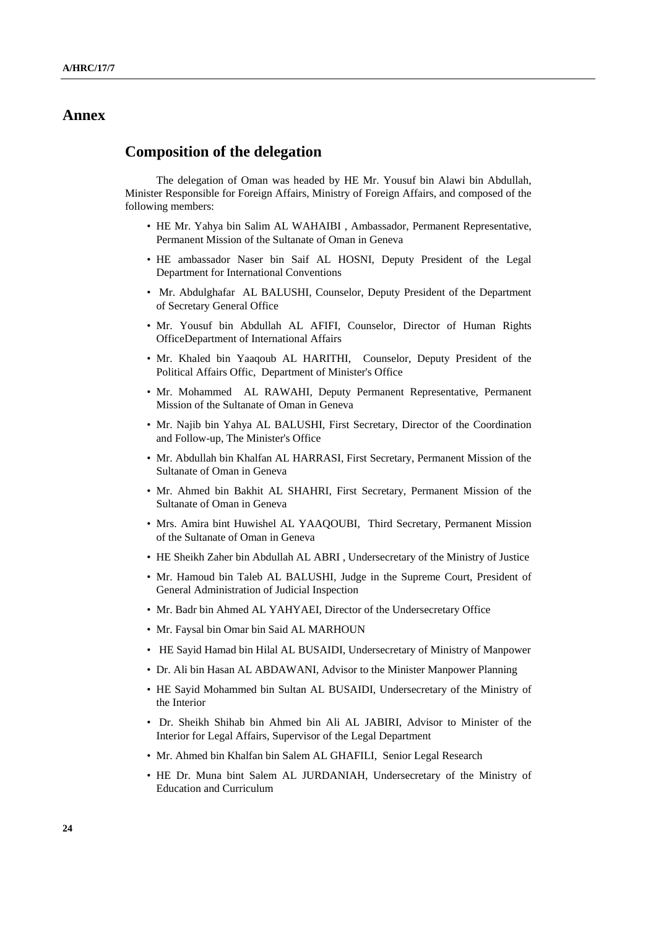# **Annex**

### **Composition of the delegation**

 The delegation of Oman was headed by HE Mr. Yousuf bin Alawi bin Abdullah, Minister Responsible for Foreign Affairs, Ministry of Foreign Affairs, and composed of the following members:

- HE Mr. Yahya bin Salim AL WAHAIBI , Ambassador, Permanent Representative, Permanent Mission of the Sultanate of Oman in Geneva
- HE ambassador Naser bin Saif AL HOSNI, Deputy President of the Legal Department for International Conventions
- Mr. Abdulghafar AL BALUSHI, Counselor, Deputy President of the Department of Secretary General Office
- Mr. Yousuf bin Abdullah AL AFIFI, Counselor, Director of Human Rights OfficeDepartment of International Affairs
- Mr. Khaled bin Yaaqoub AL HARITHI, Counselor, Deputy President of the Political Affairs Offic, Department of Minister's Office
- Mr. Mohammed AL RAWAHI, Deputy Permanent Representative, Permanent Mission of the Sultanate of Oman in Geneva
- Mr. Najib bin Yahya AL BALUSHI, First Secretary, Director of the Coordination and Follow-up, The Minister's Office
- Mr. Abdullah bin Khalfan AL HARRASI, First Secretary, Permanent Mission of the Sultanate of Oman in Geneva
- Mr. Ahmed bin Bakhit AL SHAHRI, First Secretary, Permanent Mission of the Sultanate of Oman in Geneva
- Mrs. Amira bint Huwishel AL YAAQOUBI, Third Secretary, Permanent Mission of the Sultanate of Oman in Geneva
- HE Sheikh Zaher bin Abdullah AL ABRI , Undersecretary of the Ministry of Justice
- Mr. Hamoud bin Taleb AL BALUSHI, Judge in the Supreme Court, President of General Administration of Judicial Inspection
- Mr. Badr bin Ahmed AL YAHYAEI, Director of the Undersecretary Office
- Mr. Faysal bin Omar bin Said AL MARHOUN
- HE Sayid Hamad bin Hilal AL BUSAIDI, Undersecretary of Ministry of Manpower
- Dr. Ali bin Hasan AL ABDAWANI, Advisor to the Minister Manpower Planning
- HE Sayid Mohammed bin Sultan AL BUSAIDI, Undersecretary of the Ministry of the Interior
- Dr. Sheikh Shihab bin Ahmed bin Ali AL JABIRI, Advisor to Minister of the Interior for Legal Affairs, Supervisor of the Legal Department
- Mr. Ahmed bin Khalfan bin Salem AL GHAFILI, Senior Legal Research
- HE Dr. Muna bint Salem AL JURDANIAH, Undersecretary of the Ministry of Education and Curriculum